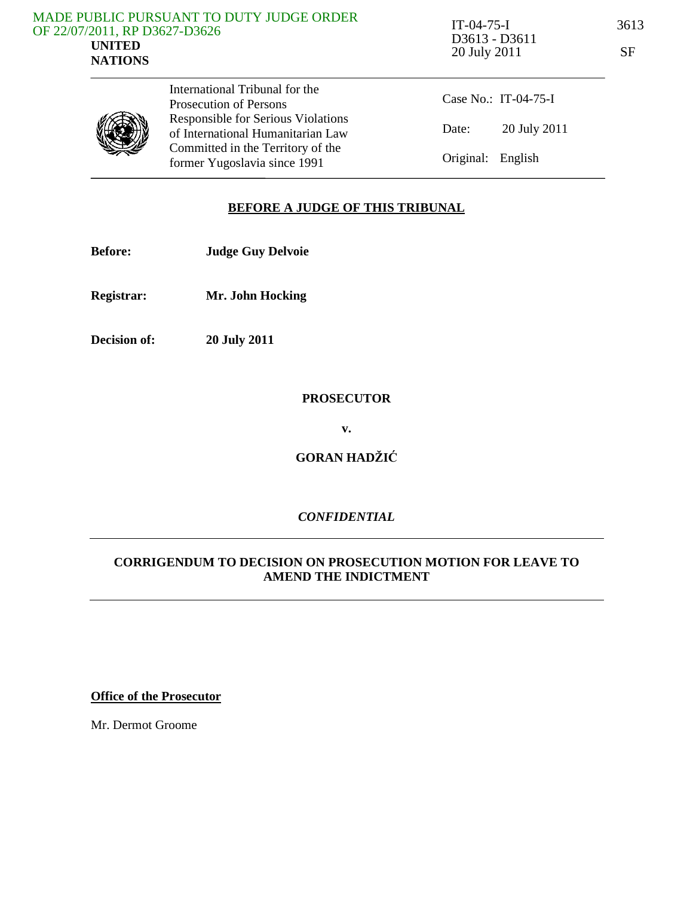|                               | MADE PUBLIC PURSUANT TO DUTY JUDGE ORDER |
|-------------------------------|------------------------------------------|
| OF 22/07/2011, RP D3627-D3626 |                                          |
| UNITED                        |                                          |
| <b>NATIONS</b>                |                                          |
|                               |                                          |

IT-04-75-I 3613 D3613 - D3611 20 July 2011

| ×<br>× |     |
|--------|-----|
|        | e 1 |



International Tribunal for the Prosecution of Persons Responsible for Serious Violations of International Humanitarian Law Committed in the Territory of the former Yugoslavia since 1991

Case No.: IT-04-75-I Date: 20 July 2011 Original: English

#### **BEFORE A JUDGE OF THIS TRIBUNAL**

- **Before: Judge Guy Delvoie**
- **Registrar: Mr. John Hocking**
- **Decision of: 20 July 2011**

## **PROSECUTOR**

**v.** 

**GORAN HADŽI**Ć

## *CONFIDENTIAL*

#### **CORRIGENDUM TO DECISION ON PROSECUTION MOTION FOR LEAVE TO AMEND THE INDICTMENT**

**Office of the Prosecutor**

Mr. Dermot Groome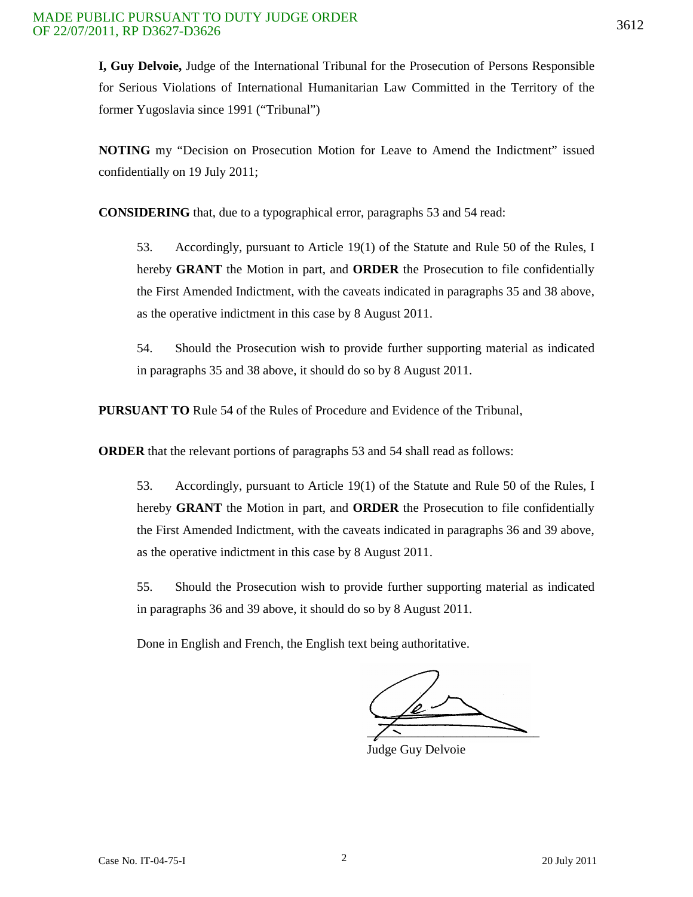**I, Guy Delvoie,** Judge of the International Tribunal for the Prosecution of Persons Responsible for Serious Violations of International Humanitarian Law Committed in the Territory of the former Yugoslavia since 1991 ("Tribunal")

**NOTING** my "Decision on Prosecution Motion for Leave to Amend the Indictment" issued confidentially on 19 July 2011;

**CONSIDERING** that, due to a typographical error, paragraphs 53 and 54 read:

53. Accordingly, pursuant to Article 19(1) of the Statute and Rule 50 of the Rules, I hereby **GRANT** the Motion in part, and **ORDER** the Prosecution to file confidentially the First Amended Indictment, with the caveats indicated in paragraphs 35 and 38 above, as the operative indictment in this case by 8 August 2011.

54. Should the Prosecution wish to provide further supporting material as indicated in paragraphs 35 and 38 above, it should do so by 8 August 2011.

**PURSUANT TO** Rule 54 of the Rules of Procedure and Evidence of the Tribunal,

**ORDER** that the relevant portions of paragraphs 53 and 54 shall read as follows:

53. Accordingly, pursuant to Article 19(1) of the Statute and Rule 50 of the Rules, I hereby **GRANT** the Motion in part, and **ORDER** the Prosecution to file confidentially the First Amended Indictment, with the caveats indicated in paragraphs 36 and 39 above, as the operative indictment in this case by 8 August 2011.

55. Should the Prosecution wish to provide further supporting material as indicated in paragraphs 36 and 39 above, it should do so by 8 August 2011.

Done in English and French, the English text being authoritative.

 $\sqrt{2}$ 

Judge Guy Delvoie